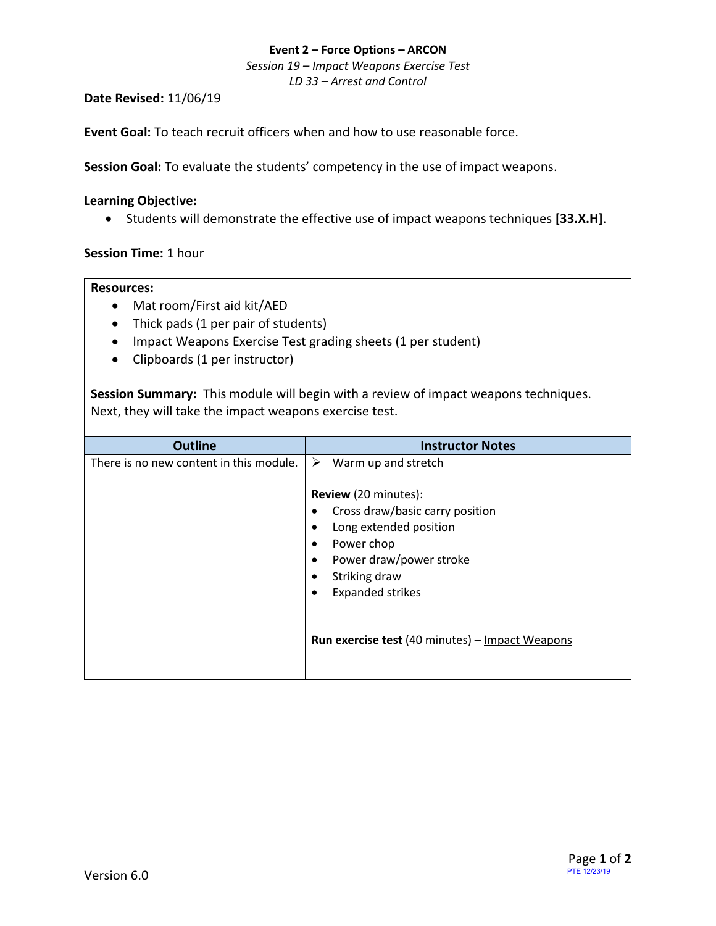### **Event 2 – Force Options – ARCON**

*Session 19 – Impact Weapons Exercise Test*

*LD 33 – Arrest and Control*

### **Date Revised:** 11/06/19

**Event Goal:** To teach recruit officers when and how to use reasonable force.

**Session Goal:** To evaluate the students' competency in the use of impact weapons.

### **Learning Objective:**

• Students will demonstrate the effective use of impact weapons techniques **[33.X.H]**.

# **Session Time:** 1 hour

### **Resources:**

- Mat room/First aid kit/AED
- Thick pads (1 per pair of students)
- Impact Weapons Exercise Test grading sheets (1 per student)
- Clipboards (1 per instructor)

**Session Summary:** This module will begin with a review of impact weapons techniques. Next, they will take the impact weapons exercise test.

| <b>Outline</b>                          | <b>Instructor Notes</b>                                                                                                                                                                                                        |
|-----------------------------------------|--------------------------------------------------------------------------------------------------------------------------------------------------------------------------------------------------------------------------------|
| There is no new content in this module. | ➤<br>Warm up and stretch                                                                                                                                                                                                       |
|                                         | <b>Review</b> (20 minutes):<br>Cross draw/basic carry position<br>٠<br>Long extended position<br>Power chop<br>$\bullet$<br>Power draw/power stroke<br>$\bullet$<br>Striking draw<br>٠<br><b>Expanded strikes</b><br>$\bullet$ |
|                                         | <b>Run exercise test (40 minutes) - Impact Weapons</b>                                                                                                                                                                         |
|                                         |                                                                                                                                                                                                                                |